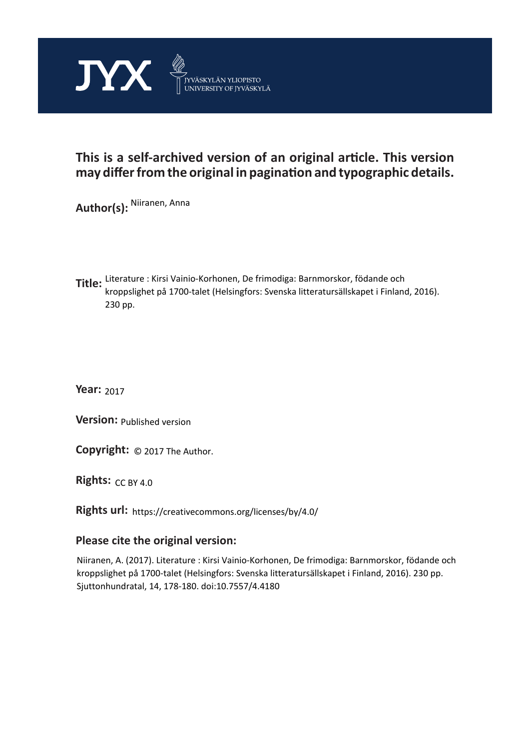

## **This is a self-archived version of an original article. This version may differ from the original in pagination and typographic details.**

**Author(s):**  Niiranen, Anna

**Title:**  Literature : Kirsi Vainio-Korhonen, De frimodiga: Barnmorskor, födande och kroppslighet på 1700-talet (Helsingfors: Svenska litteratursällskapet i Finland, 2016). 230 pp.

**Year:**  2017

**Version:**

**Version:** Published version<br>**Copyright:** © 2017 The Author.

**Rights:** CC BY 4.0

**Rights url:**  https://creativecommons.org/licenses/by/4.0/

## **Please cite the original version:**

Niiranen, A. (2017). Literature : Kirsi Vainio-Korhonen, De frimodiga: Barnmorskor, födande och kroppslighet på 1700-talet (Helsingfors: Svenska litteratursällskapet i Finland, 2016). 230 pp. Sjuttonhundratal, 14, 178-180. doi:10.7557/4.4180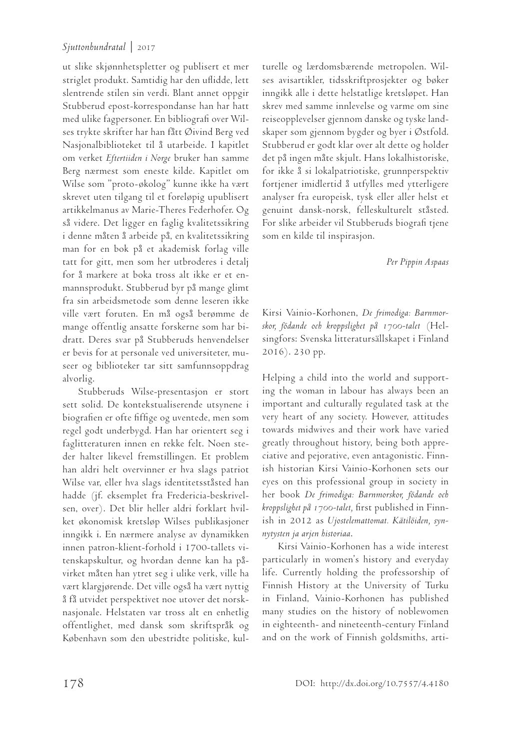## *Sjuttonhundratal* | 2017

ut slike skjønnhetspletter og publisert et mer striglet produkt. Samtidig har den uflidde, lett slentrende stilen sin verdi. Blant annet oppgir Stubberud epost-korrespondanse han har hatt med ulike fagpersoner. En bibliografi over Wilses trykte skrifter har han fått Øivind Berg ved Nasjonalbiblioteket til å utarbeide. I kapitlet om verket *Eftertiiden i Norge* bruker han samme Berg nærmest som eneste kilde. Kapitlet om Wilse som "proto-økolog" kunne ikke ha vært skrevet uten tilgang til et foreløpig upublisert artikkelmanus av Marie-Theres Federhofer. Og så videre. Det ligger en faglig kvalitetssikring i denne måten å arbeide på, en kvalitetssikring man for en bok på et akademisk forlag ville tatt for gitt, men som her utbroderes i detalj for å markere at boka tross alt ikke er et enmannsprodukt. Stubberud byr på mange glimt fra sin arbeidsmetode som denne leseren ikke ville vært foruten. En må også berømme de mange offentlig ansatte forskerne som har bidratt. Deres svar på Stubberuds henvendelser er bevis for at personale ved universiteter, museer og biblioteker tar sitt samfunnsoppdrag alvorlig.

Stubberuds Wilse-presentasjon er stort sett solid. De kontekstualiserende utsynene i biografien er ofte fiffige og uventede, men som regel godt underbygd. Han har orientert seg i faglitteraturen innen en rekke felt. Noen steder halter likevel fremstillingen. Et problem han aldri helt overvinner er hva slags patriot Wilse var, eller hva slags identitetsståsted han hadde (jf. eksemplet fra Fredericia-beskrivelsen, over). Det blir heller aldri forklart hvilket økonomisk kretsløp Wilses publikasjoner inngikk i. En nærmere analyse av dynamikken innen patron-klient-forhold i 1700-tallets vitenskapskultur, og hvordan denne kan ha påvirket måten han ytret seg i ulike verk, ville ha vært klargjørende. Det ville også ha vært nyttig å få utvidet perspektivet noe utover det norsknasjonale. Helstaten var tross alt en enhetlig offentlighet, med dansk som skriftspråk og København som den ubestridte politiske, kulturelle og lærdomsbærende metropolen. Wilses avisartikler, tidsskriftprosjekter og bøker inngikk alle i dette helstatlige kretsløpet. Han skrev med samme innlevelse og varme om sine reiseopplevelser gjennom danske og tyske landskaper som gjennom bygder og byer i Østfold. Stubberud er godt klar over alt dette og holder det på ingen måte skjult. Hans lokalhistoriske, for ikke å si lokalpatriotiske, grunnperspektiv fortjener imidlertid å utfylles med ytterligere analyser fra europeisk, tysk eller aller helst et genuint dansk-norsk, felleskulturelt ståsted. For slike arbeider vil Stubberuds biografi tjene som en kilde til inspirasjon.

*Per Pippin Aspaas*

Kirsi Vainio-Korhonen, *De frimodiga: Barnmorskor, födande och kroppslighet på 1700-talet* (Helsingfors: Svenska litteratursällskapet i Finland 2016). 230 pp.

Helping a child into the world and supporting the woman in labour has always been an important and culturally regulated task at the very heart of any society. However, attitudes towards midwives and their work have varied greatly throughout history, being both appreciative and pejorative, even antagonistic. Finnish historian Kirsi Vainio-Korhonen sets our eyes on this professional group in society in her book *De frimodiga: Barnmorskor, födande och kroppslighet på 1700-talet,* first published in Finnish in 2012 as *Ujostelemattomat. Kätilöiden, synnytysten ja arjen historiaa*.

Kirsi Vainio-Korhonen has a wide interest particularly in women's history and everyday life. Currently holding the professorship of Finnish History at the University of Turku in Finland, Vainio-Korhonen has published many studies on the history of noblewomen in eighteenth- and nineteenth-century Finland and on the work of Finnish goldsmiths, arti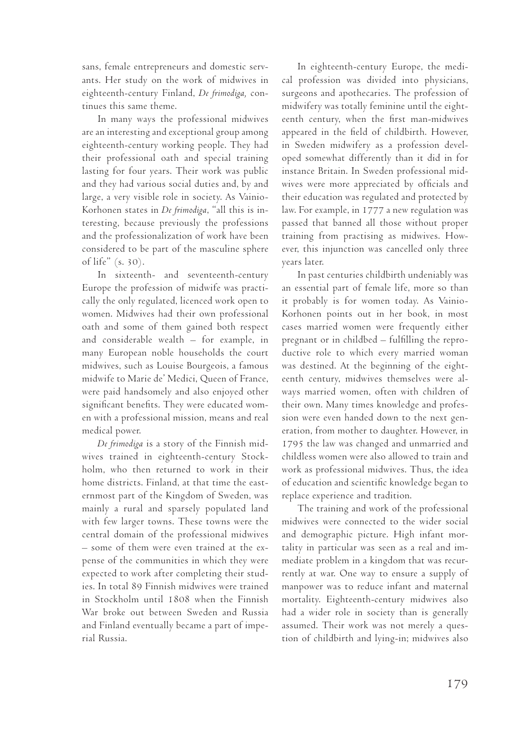sans, female entrepreneurs and domestic servants. Her study on the work of midwives in eighteenth-century Finland, *De frimodiga,* continues this same theme.

In many ways the professional midwives are an interesting and exceptional group among eighteenth-century working people. They had their professional oath and special training lasting for four years. Their work was public and they had various social duties and, by and large, a very visible role in society. As Vainio-Korhonen states in *De frimodiga*, "all this is interesting, because previously the professions and the professionalization of work have been considered to be part of the masculine sphere of life" (s. 30).

In sixteenth- and seventeenth-century Europe the profession of midwife was practically the only regulated, licenced work open to women. Midwives had their own professional oath and some of them gained both respect and considerable wealth – for example, in many European noble households the court midwives, such as Louise Bourgeois, a famous midwife to Marie de' Medici, Queen of France, were paid handsomely and also enjoyed other significant benefits. They were educated women with a professional mission, means and real medical power.

*De frimodiga* is a story of the Finnish midwives trained in eighteenth-century Stockholm, who then returned to work in their home districts. Finland, at that time the easternmost part of the Kingdom of Sweden, was mainly a rural and sparsely populated land with few larger towns. These towns were the central domain of the professional midwives – some of them were even trained at the expense of the communities in which they were expected to work after completing their studies. In total 89 Finnish midwives were trained in Stockholm until 1808 when the Finnish War broke out between Sweden and Russia and Finland eventually became a part of imperial Russia.

In eighteenth-century Europe, the medical profession was divided into physicians, surgeons and apothecaries. The profession of midwifery was totally feminine until the eighteenth century, when the first man-midwives appeared in the field of childbirth. However, in Sweden midwifery as a profession developed somewhat differently than it did in for instance Britain. In Sweden professional midwives were more appreciated by officials and their education was regulated and protected by law. For example, in 1777 a new regulation was passed that banned all those without proper training from practising as midwives. However, this injunction was cancelled only three years later.

In past centuries childbirth undeniably was an essential part of female life, more so than it probably is for women today. As Vainio-Korhonen points out in her book, in most cases married women were frequently either pregnant or in childbed – fulfilling the reproductive role to which every married woman was destined. At the beginning of the eighteenth century, midwives themselves were always married women, often with children of their own. Many times knowledge and profession were even handed down to the next generation, from mother to daughter. However, in 1795 the law was changed and unmarried and childless women were also allowed to train and work as professional midwives. Thus, the idea of education and scientific knowledge began to replace experience and tradition.

The training and work of the professional midwives were connected to the wider social and demographic picture. High infant mortality in particular was seen as a real and immediate problem in a kingdom that was recurrently at war. One way to ensure a supply of manpower was to reduce infant and maternal mortality. Eighteenth-century midwives also had a wider role in society than is generally assumed. Their work was not merely a question of childbirth and lying-in; midwives also